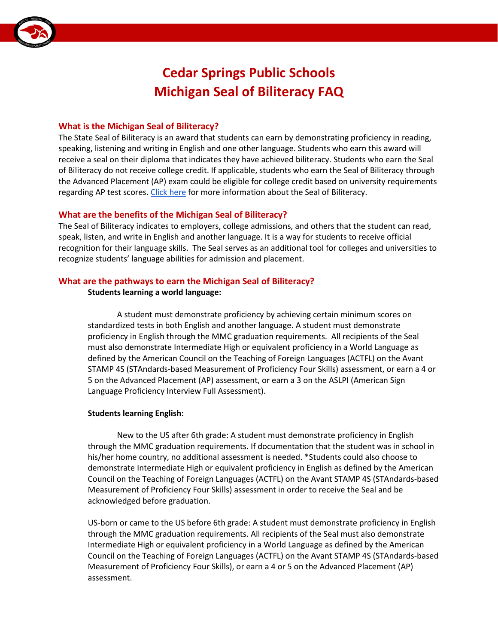

# **Cedar Springs Public Schools Michigan Seal of Biliteracy FAQ**

#### **What is the Michigan Seal of Biliteracy?**

 The State Seal of Biliteracy is an award that students can earn by demonstrating proficiency in reading, speaking, listening and writing in English and one other language. Students who earn this award will the Advanced Placement (AP) exam could be eligible for college credit based on university requirements regarding AP test scores. [Click here](https://www.michigan.gov/documents/mde/Seal_of_Biliteracy_Trifold_Print_612096_7.pdf) for more information about the Seal of Biliteracy. receive a seal on their diploma that indicates they have achieved biliteracy. Students who earn the Seal of Biliteracy do not receive college credit. If applicable, students who earn the Seal of Biliteracy through

## **What are the benefits of the Michigan Seal of Biliteracy?**

 The Seal of Biliteracy indicates to employers, college admissions, and others that the student can read, recognition for their language skills. The Seal serves as an additional tool for colleges and universities to speak, listen, and write in English and another language. It is a way for students to receive official recognize students' language abilities for admission and placement.

## **What are the pathways to earn the Michigan Seal of Biliteracy?**

## **Students learning a world language:**

 A student must demonstrate proficiency by achieving certain minimum scores on proficiency in English through the MMC graduation requirements. All recipients of the Seal standardized tests in both English and another language. A student must demonstrate must also demonstrate Intermediate High or equivalent proficiency in a World Language as defined by the American Council on the Teaching of Foreign Languages (ACTFL) on the Avant STAMP 4S (STAndards-based Measurement of Proficiency Four Skills) assessment, or earn a 4 or 5 on the Advanced Placement (AP) assessment, or earn a 3 on the ASLPI (American Sign Language Proficiency Interview Full Assessment).

#### **Students learning English:**

 New to the US after 6th grade: A student must demonstrate proficiency in English through the MMC graduation requirements. If documentation that the student was in school in Council on the Teaching of Foreign Languages (ACTFL) on the Avant STAMP 4S (STAndards-based his/her home country, no additional assessment is needed. \*Students could also choose to demonstrate Intermediate High or equivalent proficiency in English as defined by the American Measurement of Proficiency Four Skills) assessment in order to receive the Seal and be acknowledged before graduation.

 US-born or came to the US before 6th grade: A student must demonstrate proficiency in English Council on the Teaching of Foreign Languages (ACTFL) on the Avant STAMP 4S (STAndards-based Measurement of Proficiency Four Skills), or earn a 4 or 5 on the Advanced Placement (AP) through the MMC graduation requirements. All recipients of the Seal must also demonstrate Intermediate High or equivalent proficiency in a World Language as defined by the American assessment.